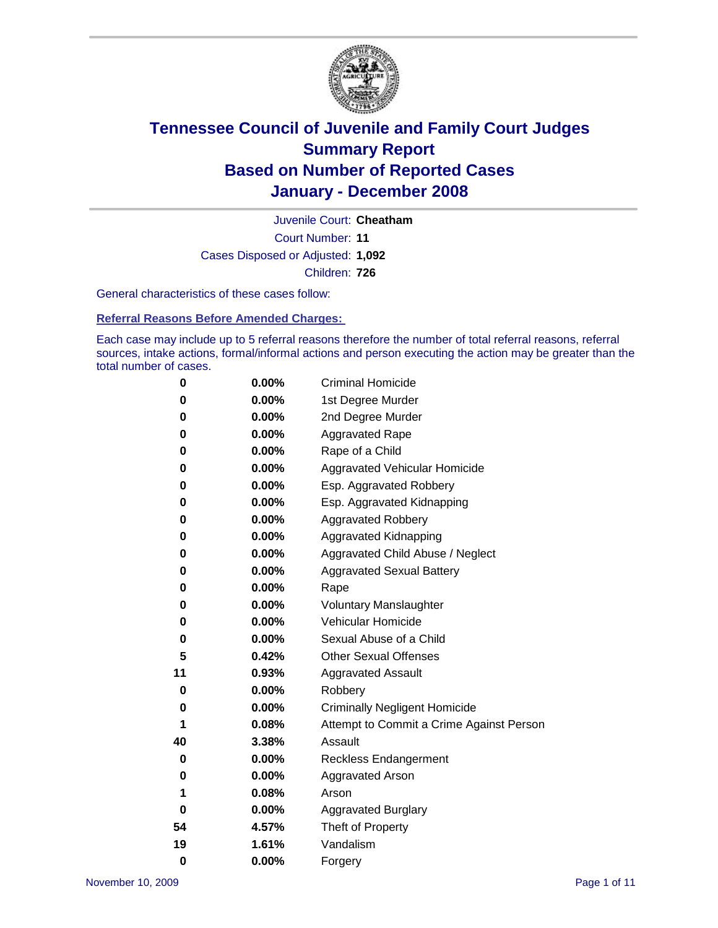

Court Number: **11** Juvenile Court: **Cheatham** Cases Disposed or Adjusted: **1,092** Children: **726**

General characteristics of these cases follow:

**Referral Reasons Before Amended Charges:** 

Each case may include up to 5 referral reasons therefore the number of total referral reasons, referral sources, intake actions, formal/informal actions and person executing the action may be greater than the total number of cases.

| 0  | 0.00%    | <b>Criminal Homicide</b>                 |  |  |
|----|----------|------------------------------------------|--|--|
| 0  | 0.00%    | 1st Degree Murder                        |  |  |
| 0  | 0.00%    | 2nd Degree Murder                        |  |  |
| 0  | 0.00%    | <b>Aggravated Rape</b>                   |  |  |
| 0  | 0.00%    | Rape of a Child                          |  |  |
| 0  | 0.00%    | Aggravated Vehicular Homicide            |  |  |
| 0  | 0.00%    | Esp. Aggravated Robbery                  |  |  |
| 0  | 0.00%    | Esp. Aggravated Kidnapping               |  |  |
| 0  | 0.00%    | <b>Aggravated Robbery</b>                |  |  |
| 0  | 0.00%    | Aggravated Kidnapping                    |  |  |
| 0  | 0.00%    | Aggravated Child Abuse / Neglect         |  |  |
| 0  | 0.00%    | <b>Aggravated Sexual Battery</b>         |  |  |
| 0  | 0.00%    | Rape                                     |  |  |
| 0  | 0.00%    | <b>Voluntary Manslaughter</b>            |  |  |
| 0  | 0.00%    | Vehicular Homicide                       |  |  |
| 0  | $0.00\%$ | Sexual Abuse of a Child                  |  |  |
| 5  | 0.42%    | <b>Other Sexual Offenses</b>             |  |  |
| 11 | 0.93%    | <b>Aggravated Assault</b>                |  |  |
| 0  | 0.00%    | Robbery                                  |  |  |
| 0  | $0.00\%$ | <b>Criminally Negligent Homicide</b>     |  |  |
| 1  | 0.08%    | Attempt to Commit a Crime Against Person |  |  |
| 40 | 3.38%    | Assault                                  |  |  |
| 0  | 0.00%    | <b>Reckless Endangerment</b>             |  |  |
| 0  | $0.00\%$ | <b>Aggravated Arson</b>                  |  |  |
| 1  | 0.08%    | Arson                                    |  |  |
| 0  | 0.00%    | <b>Aggravated Burglary</b>               |  |  |
| 54 | 4.57%    | Theft of Property                        |  |  |
| 19 | 1.61%    | Vandalism                                |  |  |
| 0  | 0.00%    | Forgery                                  |  |  |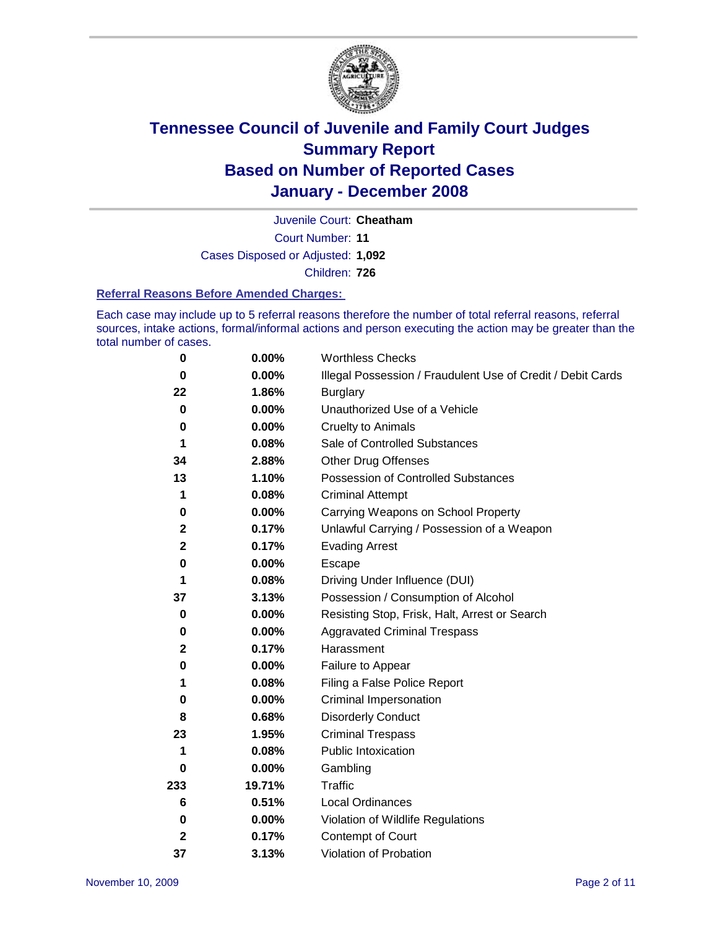

Court Number: **11** Juvenile Court: **Cheatham** Cases Disposed or Adjusted: **1,092** Children: **726**

#### **Referral Reasons Before Amended Charges:**

Each case may include up to 5 referral reasons therefore the number of total referral reasons, referral sources, intake actions, formal/informal actions and person executing the action may be greater than the total number of cases.

| 0            | 0.00%    | <b>Worthless Checks</b>                                     |  |  |
|--------------|----------|-------------------------------------------------------------|--|--|
| 0            | 0.00%    | Illegal Possession / Fraudulent Use of Credit / Debit Cards |  |  |
| 22           | 1.86%    | <b>Burglary</b>                                             |  |  |
| 0            | $0.00\%$ | Unauthorized Use of a Vehicle                               |  |  |
| $\bf{0}$     | 0.00%    | <b>Cruelty to Animals</b>                                   |  |  |
| 1            | 0.08%    | Sale of Controlled Substances                               |  |  |
| 34           | 2.88%    | <b>Other Drug Offenses</b>                                  |  |  |
| 13           | 1.10%    | <b>Possession of Controlled Substances</b>                  |  |  |
| 1            | 0.08%    | <b>Criminal Attempt</b>                                     |  |  |
| 0            | 0.00%    | Carrying Weapons on School Property                         |  |  |
| $\mathbf{2}$ | 0.17%    | Unlawful Carrying / Possession of a Weapon                  |  |  |
| $\mathbf 2$  | 0.17%    | <b>Evading Arrest</b>                                       |  |  |
| 0            | 0.00%    | Escape                                                      |  |  |
| 1            | 0.08%    | Driving Under Influence (DUI)                               |  |  |
| 37           | 3.13%    | Possession / Consumption of Alcohol                         |  |  |
| 0            | 0.00%    | Resisting Stop, Frisk, Halt, Arrest or Search               |  |  |
| 0            | 0.00%    | <b>Aggravated Criminal Trespass</b>                         |  |  |
| $\mathbf 2$  | 0.17%    | Harassment                                                  |  |  |
| $\bf{0}$     | $0.00\%$ | Failure to Appear                                           |  |  |
| 1            | 0.08%    | Filing a False Police Report                                |  |  |
| 0            | $0.00\%$ | Criminal Impersonation                                      |  |  |
| 8            | 0.68%    | <b>Disorderly Conduct</b>                                   |  |  |
| 23           | 1.95%    | <b>Criminal Trespass</b>                                    |  |  |
| 1            | 0.08%    | <b>Public Intoxication</b>                                  |  |  |
| 0            | 0.00%    | Gambling                                                    |  |  |
| 233          | 19.71%   | Traffic                                                     |  |  |
| 6            | 0.51%    | Local Ordinances                                            |  |  |
| 0            | 0.00%    | Violation of Wildlife Regulations                           |  |  |
| 2            | 0.17%    | Contempt of Court                                           |  |  |
| 37           | 3.13%    | Violation of Probation                                      |  |  |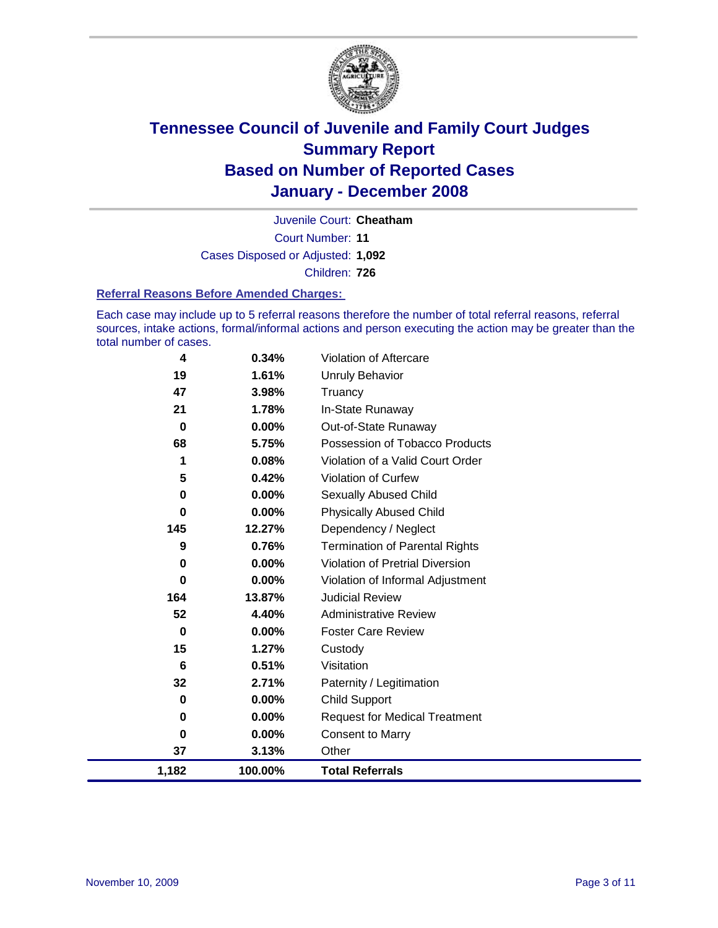

Court Number: **11** Juvenile Court: **Cheatham** Cases Disposed or Adjusted: **1,092** Children: **726**

#### **Referral Reasons Before Amended Charges:**

Each case may include up to 5 referral reasons therefore the number of total referral reasons, referral sources, intake actions, formal/informal actions and person executing the action may be greater than the total number of cases.

| 1,182       | 100.00%  | <b>Total Referrals</b>                 |
|-------------|----------|----------------------------------------|
| 37          | 3.13%    | Other                                  |
| 0           | 0.00%    | <b>Consent to Marry</b>                |
| 0           | $0.00\%$ | <b>Request for Medical Treatment</b>   |
| 0           | 0.00%    | <b>Child Support</b>                   |
| 32          | 2.71%    | Paternity / Legitimation               |
| 6           | 0.51%    | Visitation                             |
| 15          | 1.27%    | Custody                                |
| 0           | $0.00\%$ | <b>Foster Care Review</b>              |
| 52          | 4.40%    | <b>Administrative Review</b>           |
| 164         | 13.87%   | <b>Judicial Review</b>                 |
| 0           | 0.00%    | Violation of Informal Adjustment       |
| 0           | 0.00%    | <b>Violation of Pretrial Diversion</b> |
| 9           | 0.76%    | <b>Termination of Parental Rights</b>  |
| 145         | 12.27%   | Dependency / Neglect                   |
| $\mathbf 0$ | 0.00%    | <b>Physically Abused Child</b>         |
| 0           | $0.00\%$ | <b>Sexually Abused Child</b>           |
| 5           | 0.42%    | Violation of Curfew                    |
| 1           | 0.08%    | Violation of a Valid Court Order       |
| 68          | 5.75%    | Possession of Tobacco Products         |
| 0           | $0.00\%$ | Out-of-State Runaway                   |
| 21          | 1.78%    | In-State Runaway                       |
| 47          | 3.98%    | Truancy                                |
| 19          | 1.61%    | Unruly Behavior                        |
| 4           | 0.34%    | Violation of Aftercare                 |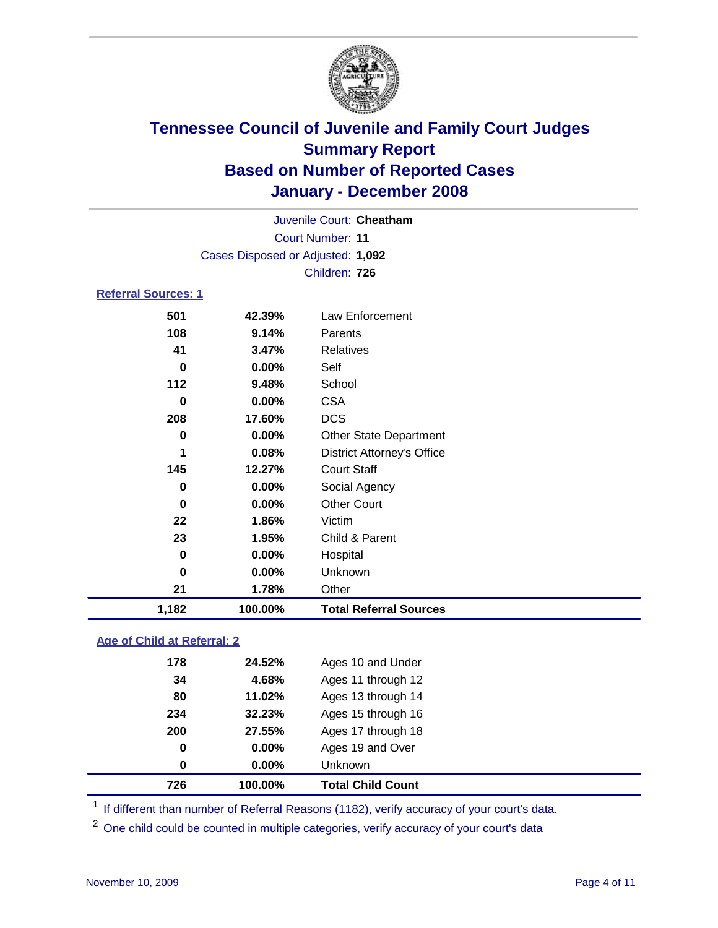

Court Number: **11** Juvenile Court: **Cheatham** Cases Disposed or Adjusted: **1,092** Children: **726**

### **Referral Sources: 1**

| 1,182    | 100.00%  | <b>Total Referral Sources</b>     |
|----------|----------|-----------------------------------|
| 21       | 1.78%    | Other                             |
| $\bf{0}$ | 0.00%    | Unknown                           |
| 0        | 0.00%    | Hospital                          |
| 23       | 1.95%    | Child & Parent                    |
| 22       | 1.86%    | Victim                            |
| 0        | $0.00\%$ | <b>Other Court</b>                |
| 0        | 0.00%    | Social Agency                     |
| 145      | 12.27%   | <b>Court Staff</b>                |
| 1        | 0.08%    | <b>District Attorney's Office</b> |
| 0        | 0.00%    | <b>Other State Department</b>     |
| 208      | 17.60%   | <b>DCS</b>                        |
| 0        | 0.00%    | <b>CSA</b>                        |
| 112      | 9.48%    | School                            |
| 0        | 0.00%    | Self                              |
| 41       | 3.47%    | <b>Relatives</b>                  |
| 108      | 9.14%    | Parents                           |
|          | 42.39%   | Law Enforcement                   |
|          | 501      |                                   |

#### **Age of Child at Referral: 2**

| 0<br>$\mathbf 0$ | 0.00%<br>0.00% | Ages 19 and Over<br><b>Unknown</b> |  |
|------------------|----------------|------------------------------------|--|
|                  |                |                                    |  |
|                  |                |                                    |  |
|                  | 27.55%         | Ages 17 through 18                 |  |
| 234              | 32.23%         | Ages 15 through 16                 |  |
| 80               | 11.02%         | Ages 13 through 14                 |  |
| 34               | 4.68%          | Ages 11 through 12                 |  |
| 178              | 24.52%         | Ages 10 and Under                  |  |
|                  | 200            |                                    |  |

<sup>1</sup> If different than number of Referral Reasons (1182), verify accuracy of your court's data.

<sup>2</sup> One child could be counted in multiple categories, verify accuracy of your court's data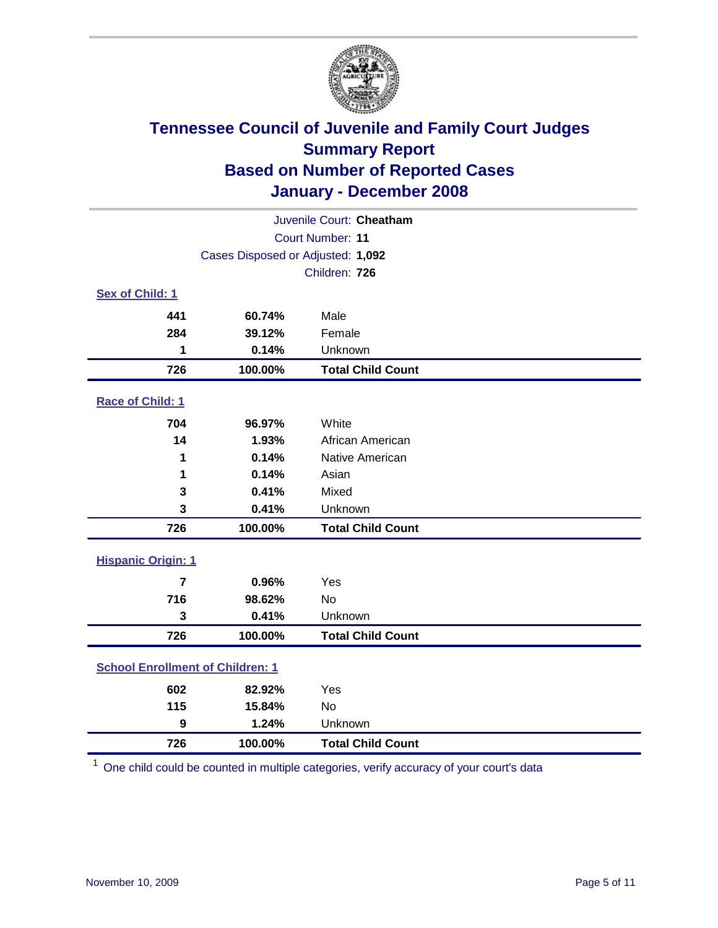

| Juvenile Court: Cheatham                |                                   |                          |  |  |  |
|-----------------------------------------|-----------------------------------|--------------------------|--|--|--|
|                                         | Court Number: 11                  |                          |  |  |  |
|                                         | Cases Disposed or Adjusted: 1,092 |                          |  |  |  |
|                                         |                                   | Children: 726            |  |  |  |
| Sex of Child: 1                         |                                   |                          |  |  |  |
| 441                                     | 60.74%                            | Male                     |  |  |  |
| 284                                     | 39.12%                            | Female                   |  |  |  |
| 1                                       | 0.14%                             | Unknown                  |  |  |  |
| 726                                     | 100.00%                           | <b>Total Child Count</b> |  |  |  |
| Race of Child: 1                        |                                   |                          |  |  |  |
| 704                                     | 96.97%                            | White                    |  |  |  |
| 14                                      | 1.93%                             | African American         |  |  |  |
| 1                                       | 0.14%                             | Native American          |  |  |  |
| 1                                       | 0.14%                             | Asian                    |  |  |  |
| 3                                       | 0.41%                             | Mixed                    |  |  |  |
| 3                                       | 0.41%                             | Unknown                  |  |  |  |
| 726                                     | 100.00%                           | <b>Total Child Count</b> |  |  |  |
| <b>Hispanic Origin: 1</b>               |                                   |                          |  |  |  |
| $\overline{7}$                          | 0.96%                             | Yes                      |  |  |  |
| 716                                     | 98.62%                            | <b>No</b>                |  |  |  |
| 3                                       | 0.41%                             | Unknown                  |  |  |  |
| 726                                     | 100.00%                           | <b>Total Child Count</b> |  |  |  |
| <b>School Enrollment of Children: 1</b> |                                   |                          |  |  |  |
| 602                                     | 82.92%                            | Yes                      |  |  |  |
| 115                                     | 15.84%                            | No                       |  |  |  |
| $\boldsymbol{9}$                        | 1.24%                             | Unknown                  |  |  |  |
| 726                                     | 100.00%                           | <b>Total Child Count</b> |  |  |  |

One child could be counted in multiple categories, verify accuracy of your court's data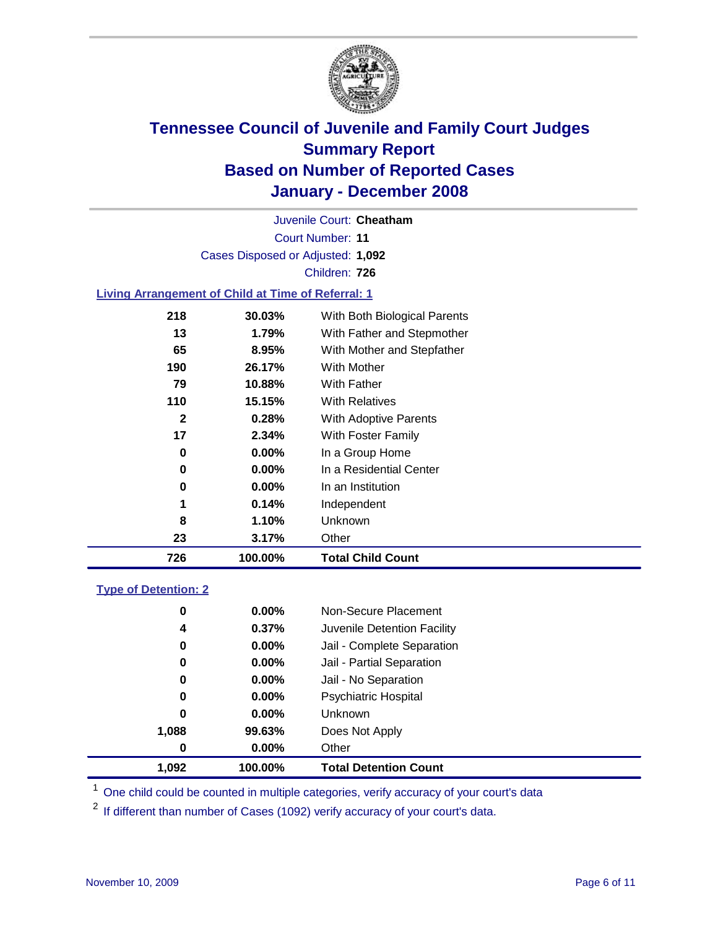

Court Number: **11** Juvenile Court: **Cheatham** Cases Disposed or Adjusted: **1,092** Children: **726**

#### **Living Arrangement of Child at Time of Referral: 1**

| 726 | 100.00%  | <b>Total Child Count</b>     |
|-----|----------|------------------------------|
| 23  | 3.17%    | Other                        |
| 8   | 1.10%    | Unknown                      |
| 1   | 0.14%    | Independent                  |
| 0   | $0.00\%$ | In an Institution            |
| 0   | 0.00%    | In a Residential Center      |
| 0   | 0.00%    | In a Group Home              |
| 17  | 2.34%    | With Foster Family           |
| 2   | 0.28%    | With Adoptive Parents        |
| 110 | 15.15%   | <b>With Relatives</b>        |
| 79  | 10.88%   | With Father                  |
| 190 | 26.17%   | With Mother                  |
| 65  | 8.95%    | With Mother and Stepfather   |
| 13  | 1.79%    | With Father and Stepmother   |
| 218 | 30.03%   | With Both Biological Parents |
|     |          |                              |

#### **Type of Detention: 2**

| 1.092 | 100.00%  | <b>Total Detention Count</b> |  |
|-------|----------|------------------------------|--|
| 0     | 0.00%    | Other                        |  |
| 1,088 | 99.63%   | Does Not Apply               |  |
| 0     | $0.00\%$ | <b>Unknown</b>               |  |
| 0     | 0.00%    | <b>Psychiatric Hospital</b>  |  |
| 0     | 0.00%    | Jail - No Separation         |  |
| 0     | $0.00\%$ | Jail - Partial Separation    |  |
| 0     | 0.00%    | Jail - Complete Separation   |  |
| 4     | 0.37%    | Juvenile Detention Facility  |  |
| 0     | $0.00\%$ | Non-Secure Placement         |  |
|       |          |                              |  |

<sup>1</sup> One child could be counted in multiple categories, verify accuracy of your court's data

<sup>2</sup> If different than number of Cases (1092) verify accuracy of your court's data.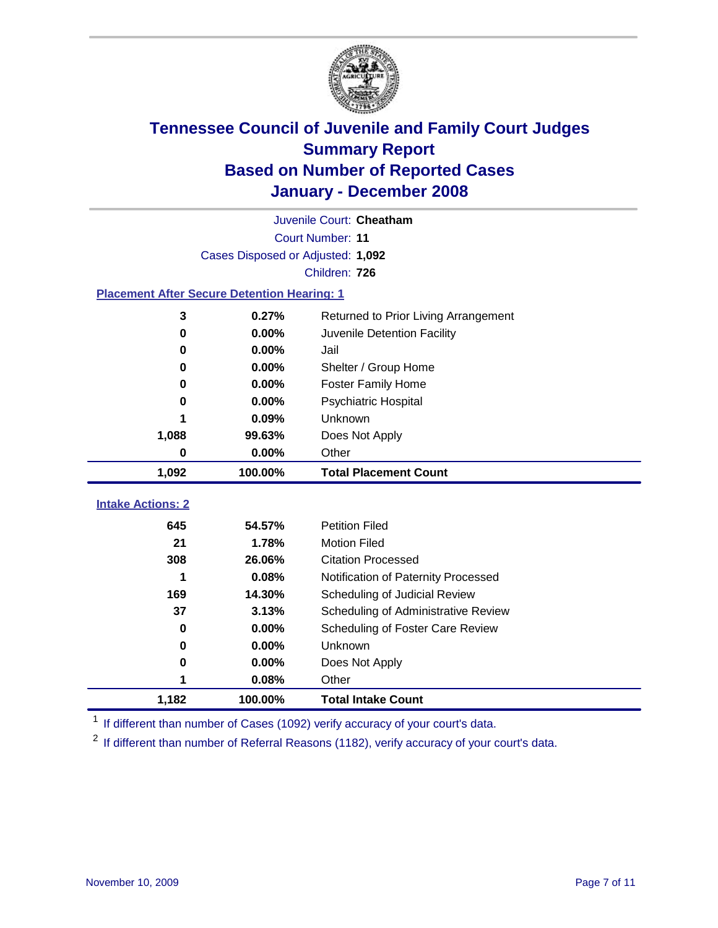

|                                                    | Juvenile Court: Cheatham          |                                      |  |  |  |
|----------------------------------------------------|-----------------------------------|--------------------------------------|--|--|--|
|                                                    | Court Number: 11                  |                                      |  |  |  |
|                                                    | Cases Disposed or Adjusted: 1,092 |                                      |  |  |  |
|                                                    |                                   | Children: 726                        |  |  |  |
| <b>Placement After Secure Detention Hearing: 1</b> |                                   |                                      |  |  |  |
| 3                                                  | 0.27%                             | Returned to Prior Living Arrangement |  |  |  |
| $\bf{0}$                                           | 0.00%                             | Juvenile Detention Facility          |  |  |  |
| 0                                                  | 0.00%                             | Jail                                 |  |  |  |
| 0                                                  | 0.00%                             | Shelter / Group Home                 |  |  |  |
| 0                                                  | 0.00%                             | <b>Foster Family Home</b>            |  |  |  |
| 0                                                  | 0.00%                             | Psychiatric Hospital                 |  |  |  |
|                                                    | 0.09%                             | Unknown                              |  |  |  |
| 1,088                                              | 99.63%                            | Does Not Apply                       |  |  |  |
| 0                                                  | 0.00%                             | Other                                |  |  |  |
| 1,092                                              | 100.00%                           | <b>Total Placement Count</b>         |  |  |  |
|                                                    |                                   |                                      |  |  |  |
| <b>Intake Actions: 2</b>                           |                                   |                                      |  |  |  |
| 645                                                | 54.57%                            | <b>Petition Filed</b>                |  |  |  |
| 21                                                 | 1.78%                             | <b>Motion Filed</b>                  |  |  |  |
| 308                                                | 26.06%                            | <b>Citation Processed</b>            |  |  |  |
| 1                                                  | 0.08%                             | Notification of Paternity Processed  |  |  |  |
| 169                                                | 14.30%                            | Scheduling of Judicial Review        |  |  |  |
| 37                                                 | 3.13%                             | Scheduling of Administrative Review  |  |  |  |
| 0                                                  | $0.00\%$                          | Scheduling of Foster Care Review     |  |  |  |
| 0                                                  | 0.00%                             | Unknown                              |  |  |  |
| 0                                                  | 0.00%                             | Does Not Apply                       |  |  |  |
| 1                                                  | 0.08%                             | Other                                |  |  |  |
| 1,182                                              | 100.00%                           | <b>Total Intake Count</b>            |  |  |  |

<sup>1</sup> If different than number of Cases (1092) verify accuracy of your court's data.

<sup>2</sup> If different than number of Referral Reasons (1182), verify accuracy of your court's data.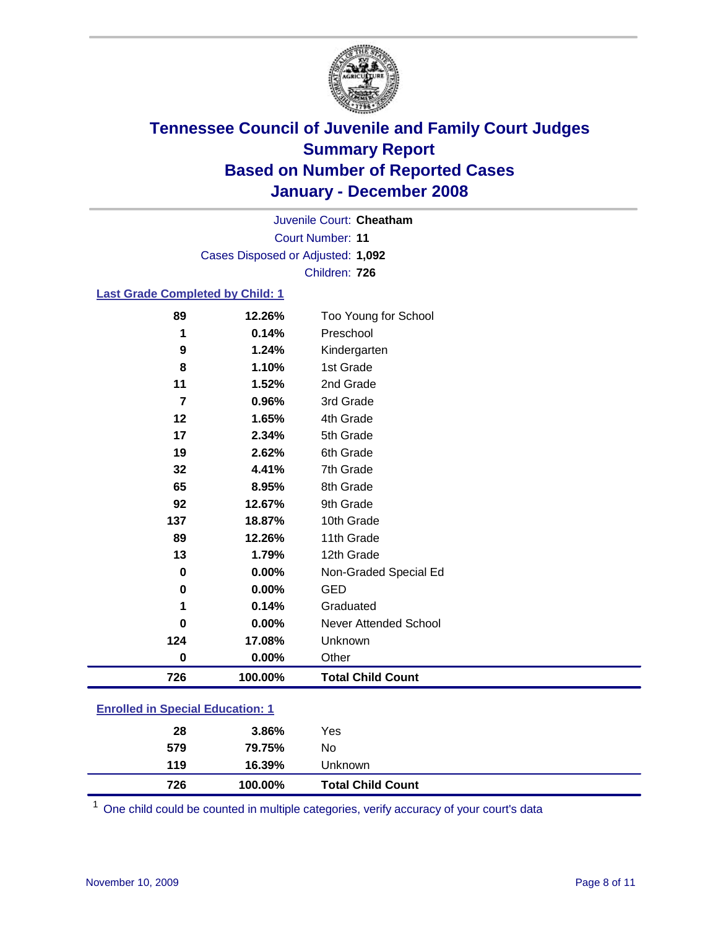

Court Number: **11** Juvenile Court: **Cheatham** Cases Disposed or Adjusted: **1,092** Children: **726**

#### **Last Grade Completed by Child: 1**

| 89             | 12.26%   | Too Young for School     |
|----------------|----------|--------------------------|
| 1              | 0.14%    | Preschool                |
| 9              | 1.24%    | Kindergarten             |
| 8              | 1.10%    | 1st Grade                |
| 11             | 1.52%    | 2nd Grade                |
| $\overline{7}$ | 0.96%    | 3rd Grade                |
| 12             | 1.65%    | 4th Grade                |
| 17             | 2.34%    | 5th Grade                |
| 19             | 2.62%    | 6th Grade                |
| 32             | 4.41%    | 7th Grade                |
| 65             | 8.95%    | 8th Grade                |
| 92             | 12.67%   | 9th Grade                |
| 137            | 18.87%   | 10th Grade               |
| 89             | 12.26%   | 11th Grade               |
| 13             | 1.79%    | 12th Grade               |
| 0              | 0.00%    | Non-Graded Special Ed    |
| 0              | 0.00%    | <b>GED</b>               |
| 1              | 0.14%    | Graduated                |
| 0              | 0.00%    | Never Attended School    |
| 124            | 17.08%   | Unknown                  |
| 0              | $0.00\%$ | Other                    |
| 726            | 100.00%  | <b>Total Child Count</b> |

### **Enrolled in Special Education: 1**

| 726 | 100.00% | <b>Total Child Count</b> |  |
|-----|---------|--------------------------|--|
| 119 | 16.39%  | Unknown                  |  |
| 579 | 79.75%  | No                       |  |
| 28  | 3.86%   | Yes                      |  |

One child could be counted in multiple categories, verify accuracy of your court's data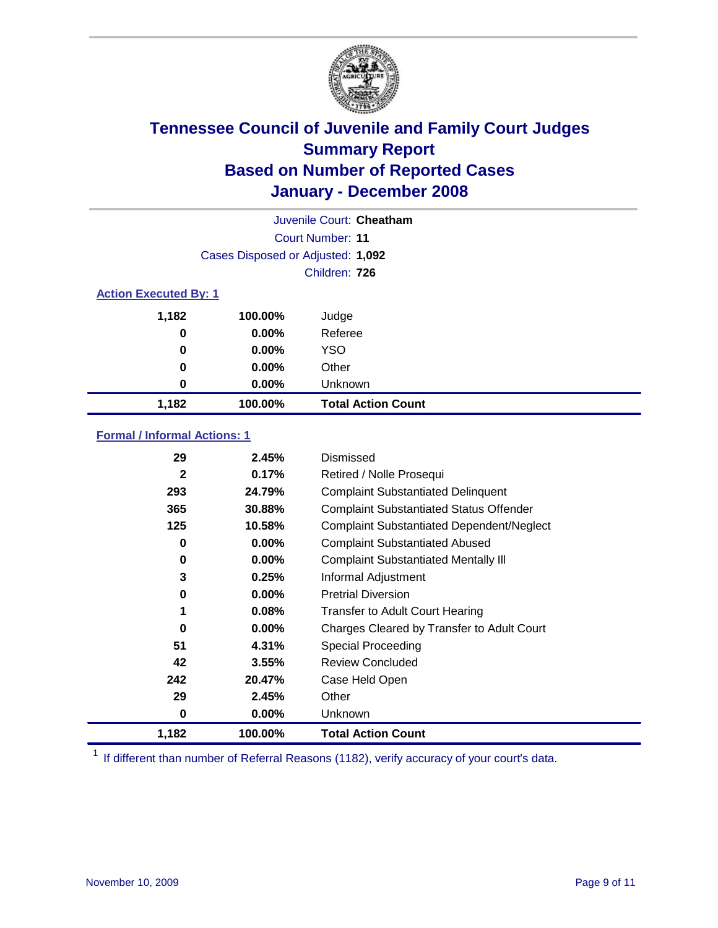

| Juvenile Court: Cheatham     |                                   |                           |  |  |  |
|------------------------------|-----------------------------------|---------------------------|--|--|--|
|                              | Court Number: 11                  |                           |  |  |  |
|                              | Cases Disposed or Adjusted: 1,092 |                           |  |  |  |
|                              | Children: 726                     |                           |  |  |  |
| <b>Action Executed By: 1</b> |                                   |                           |  |  |  |
| 1,182                        | 100.00%                           | Judge                     |  |  |  |
| 0                            | $0.00\%$                          | Referee                   |  |  |  |
| 0                            | $0.00\%$                          | <b>YSO</b>                |  |  |  |
| 0                            | $0.00\%$                          | Other                     |  |  |  |
| 0                            | $0.00\%$                          | Unknown                   |  |  |  |
| 1,182                        | 100.00%                           | <b>Total Action Count</b> |  |  |  |

### **Formal / Informal Actions: 1**

| 29           | 2.45%    | Dismissed                                        |
|--------------|----------|--------------------------------------------------|
| $\mathbf{2}$ | 0.17%    | Retired / Nolle Prosequi                         |
| 293          | 24.79%   | <b>Complaint Substantiated Delinquent</b>        |
| 365          | 30.88%   | <b>Complaint Substantiated Status Offender</b>   |
| 125          | 10.58%   | <b>Complaint Substantiated Dependent/Neglect</b> |
| 0            | 0.00%    | <b>Complaint Substantiated Abused</b>            |
| 0            | 0.00%    | <b>Complaint Substantiated Mentally III</b>      |
| 3            | 0.25%    | Informal Adjustment                              |
| 0            | $0.00\%$ | <b>Pretrial Diversion</b>                        |
| 1            | 0.08%    | <b>Transfer to Adult Court Hearing</b>           |
| 0            | $0.00\%$ | Charges Cleared by Transfer to Adult Court       |
| 51           | 4.31%    | Special Proceeding                               |
| 42           | 3.55%    | <b>Review Concluded</b>                          |
| 242          | 20.47%   | Case Held Open                                   |
| 29           | 2.45%    | Other                                            |
| 0            | $0.00\%$ | <b>Unknown</b>                                   |
| 1,182        | 100.00%  | <b>Total Action Count</b>                        |

<sup>1</sup> If different than number of Referral Reasons (1182), verify accuracy of your court's data.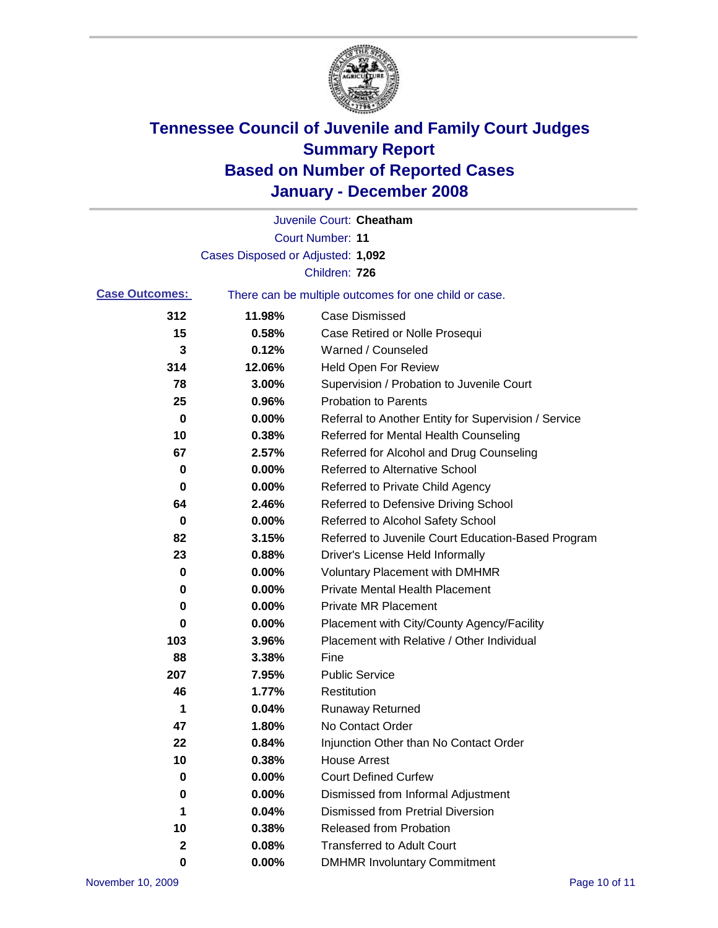

|                                                                                |                                   | Juvenile Court: Cheatham                             |
|--------------------------------------------------------------------------------|-----------------------------------|------------------------------------------------------|
|                                                                                |                                   | <b>Court Number: 11</b>                              |
|                                                                                | Cases Disposed or Adjusted: 1,092 |                                                      |
|                                                                                |                                   | Children: 726                                        |
| <b>Case Outcomes:</b><br>There can be multiple outcomes for one child or case. |                                   |                                                      |
| 312                                                                            | 11.98%                            | <b>Case Dismissed</b>                                |
| 15                                                                             | 0.58%                             | Case Retired or Nolle Prosequi                       |
| 3                                                                              | 0.12%                             | Warned / Counseled                                   |
| 314                                                                            | 12.06%                            | <b>Held Open For Review</b>                          |
| 78                                                                             | 3.00%                             | Supervision / Probation to Juvenile Court            |
| 25                                                                             | 0.96%                             | <b>Probation to Parents</b>                          |
| 0                                                                              | 0.00%                             | Referral to Another Entity for Supervision / Service |
| 10                                                                             | 0.38%                             | Referred for Mental Health Counseling                |
| 67                                                                             | 2.57%                             | Referred for Alcohol and Drug Counseling             |
| 0                                                                              | 0.00%                             | <b>Referred to Alternative School</b>                |
| 0                                                                              | 0.00%                             | Referred to Private Child Agency                     |
| 64                                                                             | 2.46%                             | Referred to Defensive Driving School                 |
| 0                                                                              | 0.00%                             | Referred to Alcohol Safety School                    |
| 82                                                                             | 3.15%                             | Referred to Juvenile Court Education-Based Program   |
| 23                                                                             | 0.88%                             | Driver's License Held Informally                     |
| 0                                                                              | 0.00%                             | <b>Voluntary Placement with DMHMR</b>                |
| 0                                                                              | 0.00%                             | <b>Private Mental Health Placement</b>               |
| 0                                                                              | 0.00%                             | <b>Private MR Placement</b>                          |
| 0                                                                              | 0.00%                             | Placement with City/County Agency/Facility           |
| 103                                                                            | 3.96%                             | Placement with Relative / Other Individual           |
| 88                                                                             | 3.38%                             | Fine                                                 |
| 207                                                                            | 7.95%                             | <b>Public Service</b>                                |
| 46                                                                             | 1.77%                             | Restitution                                          |
| 1                                                                              | 0.04%                             | <b>Runaway Returned</b>                              |
| 47                                                                             | 1.80%                             | No Contact Order                                     |
| 22                                                                             | 0.84%                             | Injunction Other than No Contact Order               |
| 10                                                                             | 0.38%                             | <b>House Arrest</b>                                  |
| 0                                                                              | 0.00%                             | <b>Court Defined Curfew</b>                          |
| 0                                                                              | 0.00%                             | Dismissed from Informal Adjustment                   |
| 1                                                                              | 0.04%                             | <b>Dismissed from Pretrial Diversion</b>             |
| 10                                                                             | 0.38%                             | <b>Released from Probation</b>                       |
| 2                                                                              | 0.08%                             | <b>Transferred to Adult Court</b>                    |
| 0                                                                              | 0.00%                             | <b>DMHMR Involuntary Commitment</b>                  |